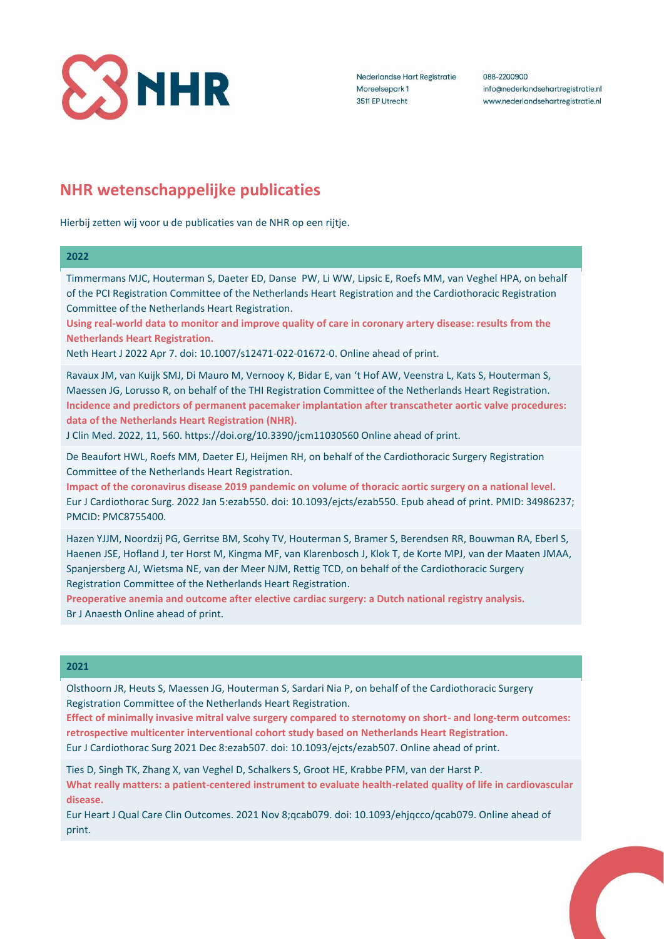

Nederlandse Hart Registratie Moreelsepark 1 3511 EP Utrecht

088-2200900 info@nederlandsehartregistratie.nl www.nederlandsehartregistratie.nl

# **NHR wetenschappelijke publicaties**

Hierbij zetten wij voor u de publicaties van de NHR op een rijtje.

## **2022**

Timmermans MJC, Houterman S, Daeter ED, Danse PW, Li WW, Lipsic E, Roefs MM, van Veghel HPA, on behalf of the PCI Registration Committee of the Netherlands Heart Registration and the Cardiothoracic Registration Committee of the Netherlands Heart Registration.

**Using real-world data to monitor and improve quality of care in coronary artery disease: results from the Netherlands Heart Registration.**

Neth Heart J 2022 Apr 7. doi: 10.1007/s12471-022-01672-0. Online ahead of print.

Ravaux JM, van Kuijk SMJ, Di Mauro M, Vernooy K, Bidar E, van 't Hof AW, Veenstra L, Kats S, Houterman S, Maessen JG, Lorusso R, on behalf of the THI Registration Committee of the Netherlands Heart Registration. **Incidence and predictors of permanent pacemaker implantation after transcatheter aortic valve procedures: data of the Netherlands Heart Registration (NHR).**

J Clin Med. 2022, 11, 560. https://doi.org/10.3390/jcm11030560 Online ahead of print.

De Beaufort HWL, Roefs MM, Daeter EJ, Heijmen RH, on behalf of the Cardiothoracic Surgery Registration Committee of the Netherlands Heart Registration.

**Impact of the coronavirus disease 2019 pandemic on volume of thoracic aortic surgery on a national level.** Eur J Cardiothorac Surg. 2022 Jan 5:ezab550. doi: 10.1093/ejcts/ezab550. Epub ahead of print. PMID: 34986237; PMCID: PMC8755400.

Hazen YJJM, Noordzij PG, Gerritse BM, Scohy TV, Houterman S, Bramer S, Berendsen RR, Bouwman RA, Eberl S, Haenen JSE, Hofland J, ter Horst M, Kingma MF, van Klarenbosch J, Klok T, de Korte MPJ, van der Maaten JMAA, Spanjersberg AJ, Wietsma NE, van der Meer NJM, Rettig TCD, on behalf of the Cardiothoracic Surgery Registration Committee of the Netherlands Heart Registration.

**Preoperative anemia and outcome after elective cardiac surgery: a Dutch national registry analysis.** Br J Anaesth Online ahead of print.

# **2021**

Olsthoorn JR, Heuts S, Maessen JG, Houterman S, Sardari Nia P, on behalf of the Cardiothoracic Surgery Registration Committee of the Netherlands Heart Registration.

**Effect of minimally invasive mitral valve surgery compared to sternotomy on short- and long-term outcomes: retrospective multicenter interventional cohort study based on Netherlands Heart Registration.** Eur J Cardiothorac Surg 2021 Dec 8:ezab507. doi: 10.1093/ejcts/ezab507. Online ahead of print.

Ties D, Singh TK, Zhang X, van Veghel D, Schalkers S, Groot HE, Krabbe PFM, van der Harst P. **What really matters: a patient-centered instrument to evaluate health-related quality of life in cardiovascular disease.**

Eur Heart J Qual Care Clin Outcomes. 2021 Nov 8;qcab079. doi: 10.1093/ehjqcco/qcab079. Online ahead of print.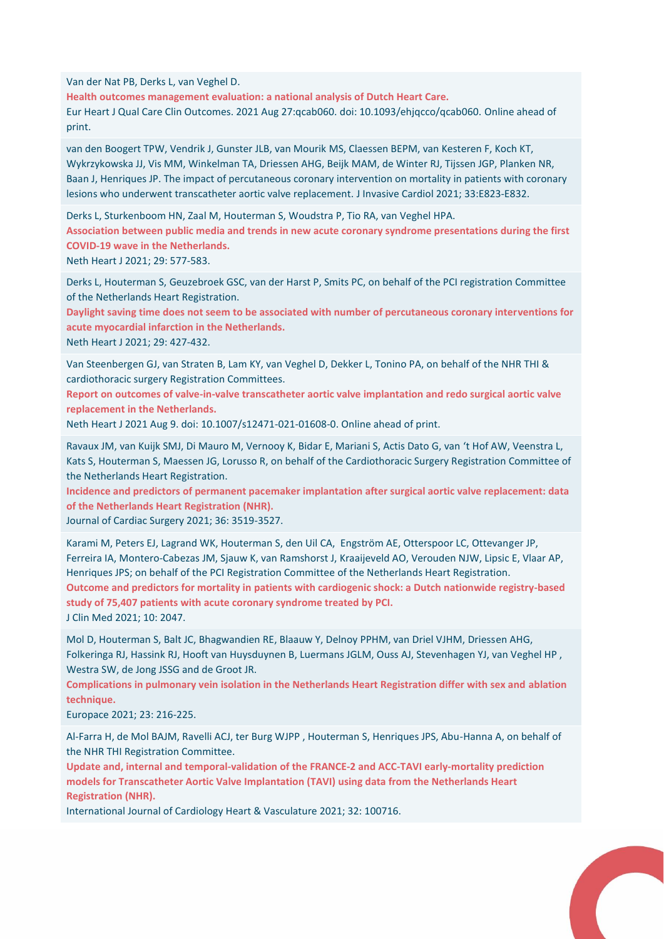Van der Nat PB, Derks L, van Veghel D.

**Health outcomes management evaluation: a national analysis of Dutch Heart Care.** Eur Heart J Qual Care Clin Outcomes. 2021 Aug 27:qcab060. doi: 10.1093/ehjqcco/qcab060. Online ahead of print.

van den Boogert TPW, Vendrik J, Gunster JLB, van Mourik MS, Claessen BEPM, van Kesteren F, Koch KT, Wykrzykowska JJ, Vis MM, Winkelman TA, Driessen AHG, Beijk MAM, de Winter RJ, Tijssen JGP, Planken NR, Baan J, Henriques JP. The impact of percutaneous coronary intervention on mortality in patients with coronary lesions who underwent transcatheter aortic valve replacement. J Invasive Cardiol 2021; 33:E823-E832.

Derks L, Sturkenboom HN, Zaal M, Houterman S, Woudstra P, Tio RA, van Veghel HPA. **Association between public media and trends in new acute coronary syndrome presentations during the first COVID-19 wave in the Netherlands.** Neth Heart J 2021; 29: 577-583.

Derks L, Houterman S, Geuzebroek GSC, van der Harst P, Smits PC, on behalf of the PCI registration Committee of the Netherlands Heart Registration.

**Daylight saving time does not seem to be associated with number of percutaneous coronary interventions for acute myocardial infarction in the Netherlands.**

Neth Heart J 2021; 29: 427-432.

Van Steenbergen GJ, van Straten B, Lam KY, van Veghel D, Dekker L, Tonino PA, on behalf of the NHR THI & cardiothoracic surgery Registration Committees.

**Report on outcomes of valve-in-valve transcatheter aortic valve implantation and redo surgical aortic valve replacement in the Netherlands.**

Neth Heart J 2021 Aug 9. doi: 10.1007/s12471-021-01608-0. Online ahead of print.

Ravaux JM, van Kuijk SMJ, Di Mauro M, Vernooy K, Bidar E, Mariani S, Actis Dato G, van 't Hof AW, Veenstra L, Kats S, Houterman S, Maessen JG, Lorusso R, on behalf of the Cardiothoracic Surgery Registration Committee of the Netherlands Heart Registration.

**Incidence and predictors of permanent pacemaker implantation after surgical aortic valve replacement: data of the Netherlands Heart Registration (NHR).** 

Journal of Cardiac Surgery 2021; 36: 3519-3527.

Karami M, Peters EJ, Lagrand WK, Houterman S, den Uil CA, Engström AE, Otterspoor LC, Ottevanger JP, Ferreira IA, Montero-Cabezas JM, Sjauw K, van Ramshorst J, Kraaijeveld AO, Verouden NJW, Lipsic E, Vlaar AP, Henriques JPS; on behalf of the PCI Registration Committee of the Netherlands Heart Registration. **Outcome and predictors for mortality in patients with cardiogenic shock: a Dutch nationwide registry-based study of 75,407 patients with acute coronary syndrome treated by PCI.** J Clin Med 2021; 10: 2047.

Mol D, Houterman S, Balt JC, Bhagwandien RE, Blaauw Y, Delnoy PPHM, van Driel VJHM, Driessen AHG, Folkeringa RJ, Hassink RJ, Hooft van Huysduynen B, Luermans JGLM, Ouss AJ, Stevenhagen YJ, van Veghel HP , Westra SW, de Jong JSSG and de Groot JR.

**Complications in pulmonary vein isolation in the Netherlands Heart Registration differ with sex and ablation technique.**

Europace 2021; 23: 216-225.

Al-Farra H, de Mol BAJM, Ravelli ACJ, ter Burg WJPP , Houterman S, Henriques JPS, Abu-Hanna A, on behalf of the NHR THI Registration Committee.

**Update and, internal and temporal-validation of the FRANCE-2 and ACC-TAVI early-mortality prediction models for Transcatheter Aortic Valve Implantation (TAVI) using data from the Netherlands Heart Registration (NHR).**

International Journal of Cardiology Heart & Vasculature 2021; 32: 100716.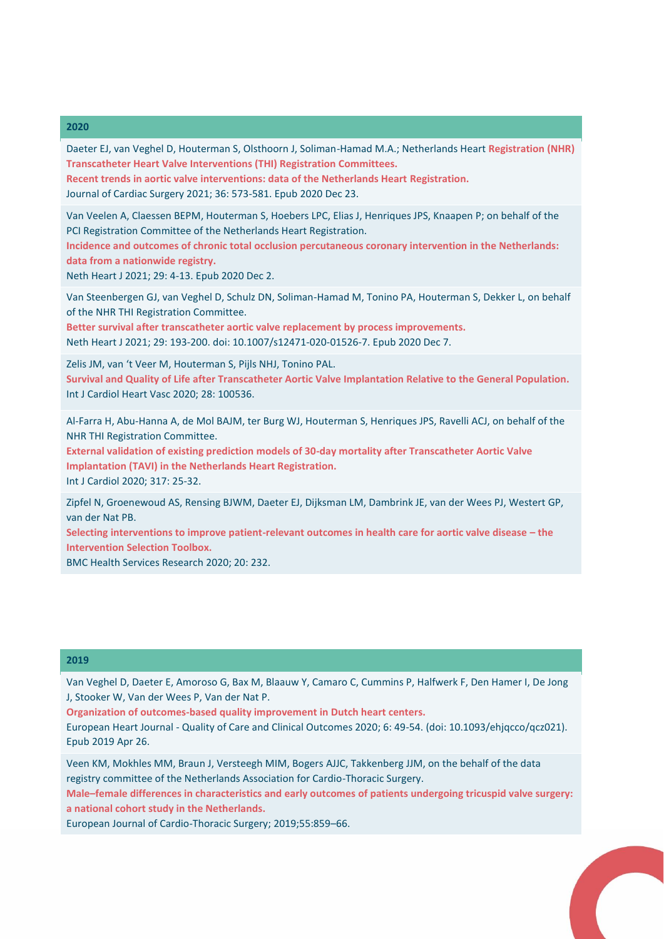### **2020**

Daeter EJ, van Veghel D, Houterman S, Olsthoorn J, Soliman-Hamad M.A.; Netherlands Heart **Registration (NHR) Transcatheter Heart Valve Interventions (THI) Registration Committees.**

**Recent trends in aortic valve interventions: data of the Netherlands Heart Registration.** Journal of Cardiac Surgery 2021; 36: 573-581. Epub 2020 Dec 23.

Van Veelen A, Claessen BEPM, Houterman S, Hoebers LPC, Elias J, Henriques JPS, Knaapen P; on behalf of the PCI Registration Committee of the Netherlands Heart Registration.

**Incidence and outcomes of chronic total occlusion percutaneous coronary intervention in the Netherlands: data from a nationwide registry.**

Neth Heart J 2021; 29: 4-13. Epub 2020 Dec 2.

Van Steenbergen GJ, van Veghel D, Schulz DN, Soliman-Hamad M, Tonino PA, Houterman S, Dekker L, on behalf of the NHR THI Registration Committee.

**Better survival after transcatheter aortic valve replacement by process improvements.** Neth Heart J 2021; 29: 193-200. doi: 10.1007/s12471-020-01526-7. Epub 2020 Dec 7.

Zelis JM, van 't Veer M, Houterman S, Pijls NHJ, Tonino PAL.

**Survival and Quality of Life after Transcatheter Aortic Valve Implantation Relative to the General Population.** Int J Cardiol Heart Vasc 2020; 28: 100536.

Al-Farra H, Abu-Hanna A, de Mol BAJM, ter Burg WJ, Houterman S, Henriques JPS, Ravelli ACJ, on behalf of the NHR THI Registration Committee.

**External validation of existing prediction models of 30-day mortality after Transcatheter Aortic Valve Implantation (TAVI) in the Netherlands Heart Registration.** Int J Cardiol 2020; 317: 25-32.

Zipfel N, Groenewoud AS, Rensing BJWM, Daeter EJ, Dijksman LM, Dambrink JE, van der Wees PJ, Westert GP, van der Nat PB.

**Selecting interventions to improve patient-relevant outcomes in health care for aortic valve disease – the Intervention Selection Toolbox.**

BMC Health Services Research 2020; 20: 232.

#### **2019**

Van Veghel D, Daeter E, Amoroso G, Bax M, Blaauw Y, Camaro C, Cummins P, Halfwerk F, Den Hamer I, De Jong J, Stooker W, Van der Wees P, Van der Nat P.

**Organization of outcomes-based quality improvement in Dutch heart centers.**

European Heart Journal - Quality of Care and Clinical Outcomes 2020; 6: 49-54. (doi: 10.1093/ehjqcco/qcz021). Epub 2019 Apr 26.

Veen KM, Mokhles MM, Braun J, Versteegh MIM, Bogers AJJC, Takkenberg JJM, on the behalf of the data registry committee of the Netherlands Association for Cardio-Thoracic Surgery.

**Male–female differences in characteristics and early outcomes of patients undergoing tricuspid valve surgery: a national cohort study in the Netherlands.**

European Journal of Cardio-Thoracic Surgery; 2019;55:859–66.